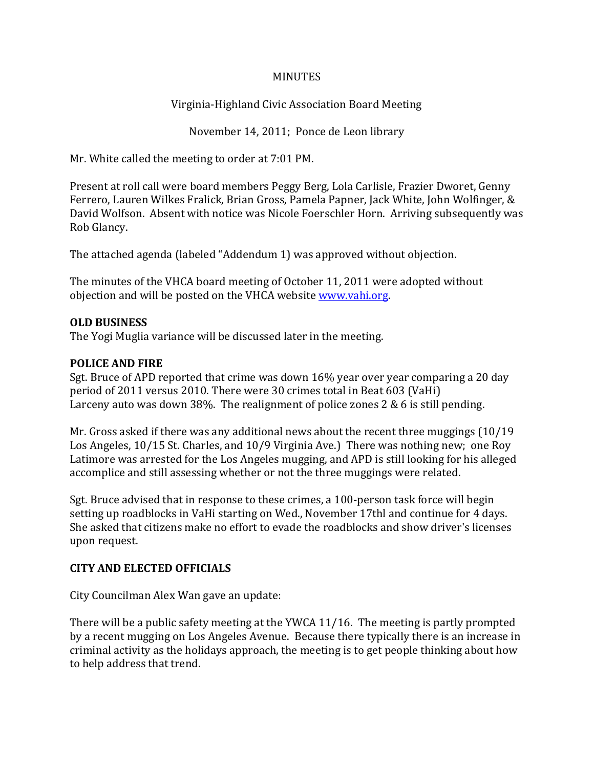#### **MINUTES**

Virginia-Highland Civic Association Board Meeting

November 14, 2011; Ponce de Leon library

Mr. White called the meeting to order at 7:01 PM.

Present at roll call were board members Peggy Berg, Lola Carlisle, Frazier Dworet, Genny Ferrero, Lauren Wilkes Fralick, Brian Gross, Pamela Papner, Jack White, John Wolfinger, & David Wolfson. Absent with notice was Nicole Foerschler Horn. Arriving subsequently was Rob Glancy.

The attached agenda (labeled "Addendum 1) was approved without objection.

The minutes of the VHCA board meeting of October 11, 2011 were adopted without objection and will be posted on the VHCA website www.vahi.org.

#### **OLD BUSINESS**

The Yogi Muglia variance will be discussed later in the meeting.

### **POLICE AND FIRE**

Sgt. Bruce of APD reported that crime was down 16% year over year comparing a 20 day period of 2011 versus 2010. There were 30 crimes total in Beat 603 (VaHi) Larceny auto was down 38%. The realignment of police zones 2 & 6 is still pending.

Mr. Gross asked if there was any additional news about the recent three muggings (10/19 Los Angeles, 10/15 St. Charles, and 10/9 Virginia Ave.) There was nothing new; one Roy Latimore was arrested for the Los Angeles mugging, and APD is still looking for his alleged accomplice and still assessing whether or not the three muggings were related.

Sgt. Bruce advised that in response to these crimes, a 100-person task force will begin setting up roadblocks in VaHi starting on Wed., November 17thl and continue for 4 days. She asked that citizens make no effort to evade the roadblocks and show driver's licenses upon request.

## **CITY AND ELECTED OFFICIALS**

City Councilman Alex Wan gave an update:

There will be a public safety meeting at the YWCA 11/16. The meeting is partly prompted by a recent mugging on Los Angeles Avenue. Because there typically there is an increase in criminal activity as the holidays approach, the meeting is to get people thinking about how to help address that trend.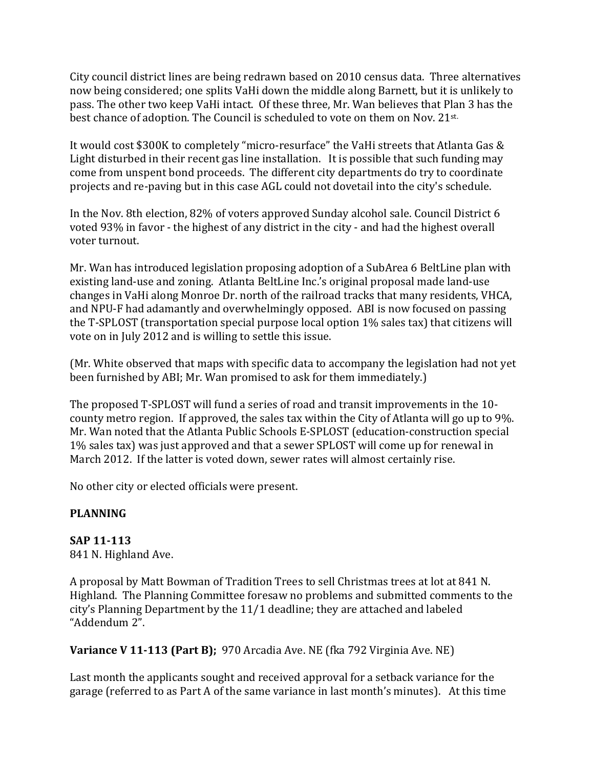City council district lines are being redrawn based on 2010 census data. Three alternatives now being considered; one splits VaHi down the middle along Barnett, but it is unlikely to pass. The other two keep VaHi intact. Of these three, Mr. Wan believes that Plan 3 has the best chance of adoption. The Council is scheduled to vote on them on Nov. 21st.

It would cost \$300K to completely "micro-resurface" the VaHi streets that Atlanta Gas & Light disturbed in their recent gas line installation. It is possible that such funding may come from unspent bond proceeds. The different city departments do try to coordinate projects and re-paving but in this case AGL could not dovetail into the city's schedule.

In the Nov. 8th election, 82% of voters approved Sunday alcohol sale. Council District 6 voted 93% in favor - the highest of any district in the city - and had the highest overall voter turnout.

Mr. Wan has introduced legislation proposing adoption of a SubArea 6 BeltLine plan with existing land-use and zoning. Atlanta BeltLine Inc.'s original proposal made land-use changes in VaHi along Monroe Dr. north of the railroad tracks that many residents, VHCA, and NPU-F had adamantly and overwhelmingly opposed. ABI is now focused on passing the T-SPLOST (transportation special purpose local option 1% sales tax) that citizens will vote on in July 2012 and is willing to settle this issue.

(Mr. White observed that maps with specific data to accompany the legislation had not yet been furnished by ABI; Mr. Wan promised to ask for them immediately.)

The proposed T-SPLOST will fund a series of road and transit improvements in the 10 county metro region. If approved, the sales tax within the City of Atlanta will go up to 9%. Mr. Wan noted that the Atlanta Public Schools E-SPLOST (education-construction special 1% sales tax) was just approved and that a sewer SPLOST will come up for renewal in March 2012. If the latter is voted down, sewer rates will almost certainly rise.

No other city or elected officials were present.

## **PLANNING**

#### **SAP 11-113**  841 N. Highland Ave.

A proposal by Matt Bowman of Tradition Trees to sell Christmas trees at lot at 841 N. Highland. The Planning Committee foresaw no problems and submitted comments to the city's Planning Department by the 11/1 deadline; they are attached and labeled "Addendum 2".

**Variance V 11-113 (Part B);** 970 Arcadia Ave. NE (fka 792 Virginia Ave. NE)

Last month the applicants sought and received approval for a setback variance for the garage (referred to as Part A of the same variance in last month's minutes). At this time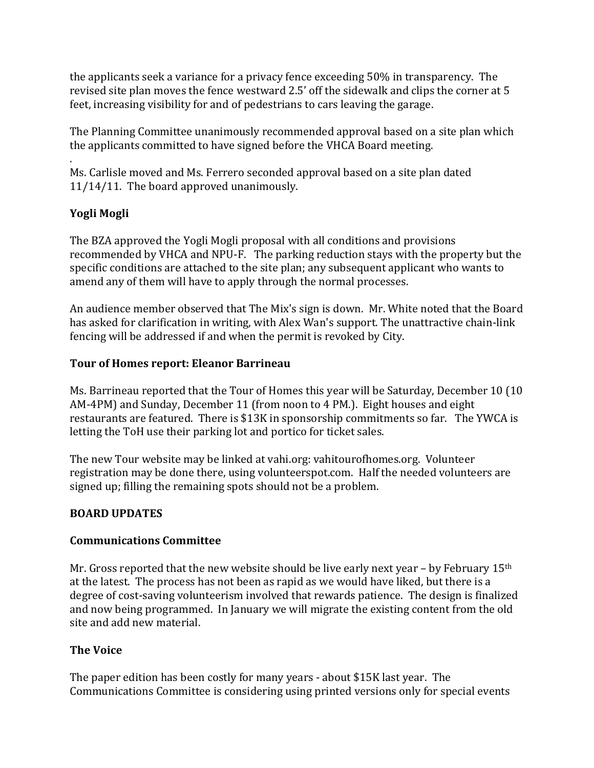the applicants seek a variance for a privacy fence exceeding 50% in transparency. The revised site plan moves the fence westward 2.5' off the sidewalk and clips the corner at 5 feet, increasing visibility for and of pedestrians to cars leaving the garage.

The Planning Committee unanimously recommended approval based on a site plan which the applicants committed to have signed before the VHCA Board meeting.

. Ms. Carlisle moved and Ms. Ferrero seconded approval based on a site plan dated 11/14/11. The board approved unanimously.

# **Yogli Mogli**

The BZA approved the Yogli Mogli proposal with all conditions and provisions recommended by VHCA and NPU-F. The parking reduction stays with the property but the specific conditions are attached to the site plan; any subsequent applicant who wants to amend any of them will have to apply through the normal processes.

An audience member observed that The Mix's sign is down. Mr. White noted that the Board has asked for clarification in writing, with Alex Wan's support. The unattractive chain-link fencing will be addressed if and when the permit is revoked by City.

## **Tour of Homes report: Eleanor Barrineau**

Ms. Barrineau reported that the Tour of Homes this year will be Saturday, December 10 (10 AM-4PM) and Sunday, December 11 (from noon to 4 PM.). Eight houses and eight restaurants are featured. There is \$13K in sponsorship commitments so far. The YWCA is letting the ToH use their parking lot and portico for ticket sales.

The new Tour website may be linked at vahi.org: vahitourofhomes.org. Volunteer registration may be done there, using volunteerspot.com. Half the needed volunteers are signed up; filling the remaining spots should not be a problem.

## **BOARD UPDATES**

#### **Communications Committee**

Mr. Gross reported that the new website should be live early next year – by February  $15<sup>th</sup>$ at the latest. The process has not been as rapid as we would have liked, but there is a degree of cost-saving volunteerism involved that rewards patience. The design is finalized and now being programmed. In January we will migrate the existing content from the old site and add new material.

## **The Voice**

The paper edition has been costly for many years - about \$15K last year. The Communications Committee is considering using printed versions only for special events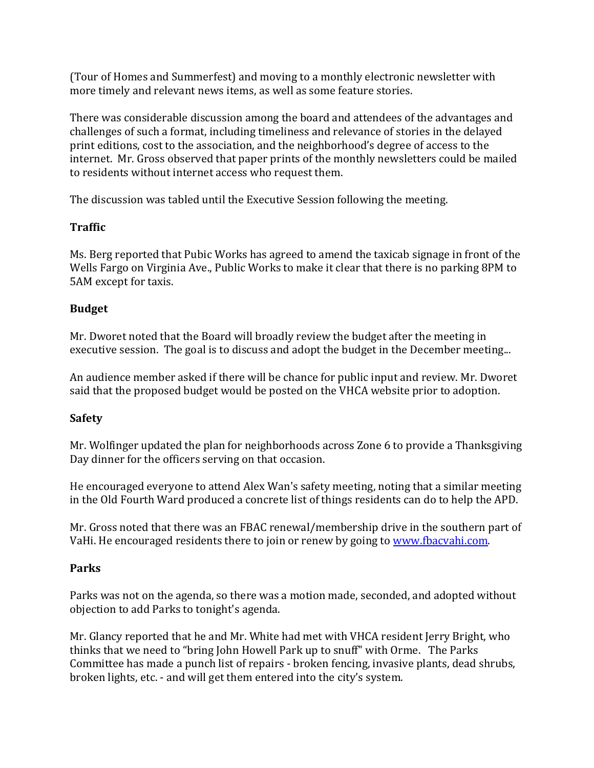(Tour of Homes and Summerfest) and moving to a monthly electronic newsletter with more timely and relevant news items, as well as some feature stories.

There was considerable discussion among the board and attendees of the advantages and challenges of such a format, including timeliness and relevance of stories in the delayed print editions, cost to the association, and the neighborhood's degree of access to the internet. Mr. Gross observed that paper prints of the monthly newsletters could be mailed to residents without internet access who request them.

The discussion was tabled until the Executive Session following the meeting.

## **Traffic**

Ms. Berg reported that Pubic Works has agreed to amend the taxicab signage in front of the Wells Fargo on Virginia Ave., Public Works to make it clear that there is no parking 8PM to 5AM except for taxis.

### **Budget**

Mr. Dworet noted that the Board will broadly review the budget after the meeting in executive session. The goal is to discuss and adopt the budget in the December meeting...

An audience member asked if there will be chance for public input and review. Mr. Dworet said that the proposed budget would be posted on the VHCA website prior to adoption.

## **Safety**

Mr. Wolfinger updated the plan for neighborhoods across Zone 6 to provide a Thanksgiving Day dinner for the officers serving on that occasion.

He encouraged everyone to attend Alex Wan's safety meeting, noting that a similar meeting in the Old Fourth Ward produced a concrete list of things residents can do to help the APD.

Mr. Gross noted that there was an FBAC renewal/membership drive in the southern part of VaHi. He encouraged residents there to join or renew by going to www.fbacvahi.com.

## **Parks**

Parks was not on the agenda, so there was a motion made, seconded, and adopted without objection to add Parks to tonight's agenda.

Mr. Glancy reported that he and Mr. White had met with VHCA resident Jerry Bright, who thinks that we need to "bring John Howell Park up to snuff" with Orme. The Parks Committee has made a punch list of repairs - broken fencing, invasive plants, dead shrubs, broken lights, etc. - and will get them entered into the city's system.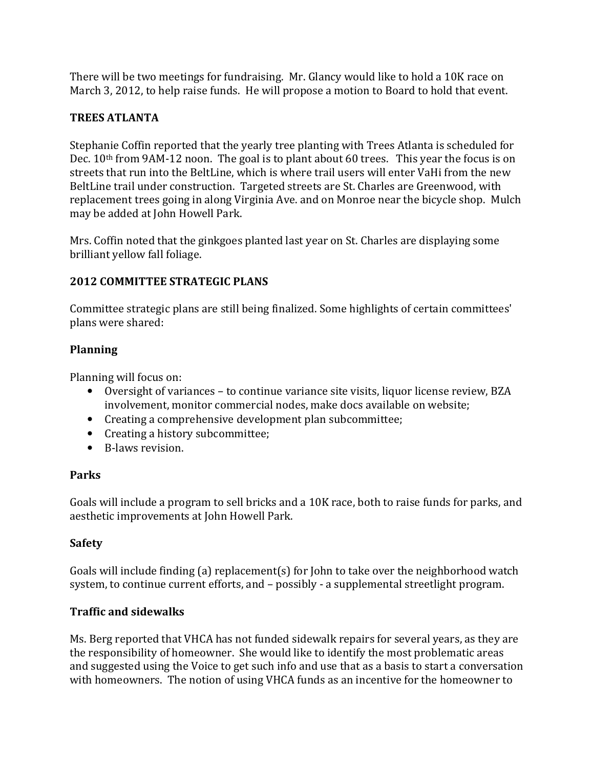There will be two meetings for fundraising. Mr. Glancy would like to hold a 10K race on March 3, 2012, to help raise funds. He will propose a motion to Board to hold that event.

## **TREES ATLANTA**

Stephanie Coffin reported that the yearly tree planting with Trees Atlanta is scheduled for Dec. 10<sup>th</sup> from 9AM-12 noon. The goal is to plant about 60 trees. This year the focus is on streets that run into the BeltLine, which is where trail users will enter VaHi from the new BeltLine trail under construction. Targeted streets are St. Charles are Greenwood, with replacement trees going in along Virginia Ave. and on Monroe near the bicycle shop. Mulch may be added at John Howell Park.

Mrs. Coffin noted that the ginkgoes planted last year on St. Charles are displaying some brilliant yellow fall foliage.

# **2012 COMMITTEE STRATEGIC PLANS**

Committee strategic plans are still being finalized. Some highlights of certain committees' plans were shared:

## **Planning**

Planning will focus on:

- Oversight of variances to continue variance site visits, liquor license review, BZA involvement, monitor commercial nodes, make docs available on website;
- Creating a comprehensive development plan subcommittee;
- Creating a history subcommittee;
- B-laws revision.

## **Parks**

Goals will include a program to sell bricks and a 10K race, both to raise funds for parks, and aesthetic improvements at John Howell Park.

## **Safety**

Goals will include finding (a) replacement(s) for John to take over the neighborhood watch system, to continue current efforts, and – possibly - a supplemental streetlight program.

## **Traffic and sidewalks**

Ms. Berg reported that VHCA has not funded sidewalk repairs for several years, as they are the responsibility of homeowner. She would like to identify the most problematic areas and suggested using the Voice to get such info and use that as a basis to start a conversation with homeowners. The notion of using VHCA funds as an incentive for the homeowner to